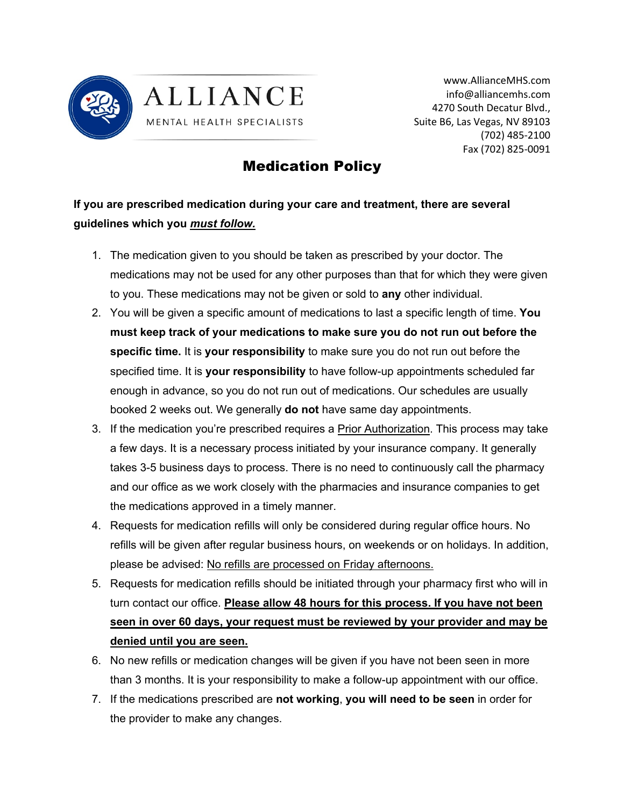



www.AllianceMHS.com info@alliancemhs.com 4270 South Decatur Blvd., Suite B6, Las Vegas, NV 89103 (702) 485-2100 Fax (702) 825-0091

## Medication Policy

## **If you are prescribed medication during your care and treatment, there are several guidelines which you** *must follow.*

- 1. The medication given to you should be taken as prescribed by your doctor. The medications may not be used for any other purposes than that for which they were given to you. These medications may not be given or sold to **any** other individual.
- 2. You will be given a specific amount of medications to last a specific length of time. **You must keep track of your medications to make sure you do not run out before the specific time.** It is **your responsibility** to make sure you do not run out before the specified time. It is **your responsibility** to have follow-up appointments scheduled far enough in advance, so you do not run out of medications. Our schedules are usually booked 2 weeks out. We generally **do not** have same day appointments.
- 3. If the medication you're prescribed requires a Prior Authorization. This process may take a few days. It is a necessary process initiated by your insurance company. It generally takes 3-5 business days to process. There is no need to continuously call the pharmacy and our office as we work closely with the pharmacies and insurance companies to get the medications approved in a timely manner.
- 4. Requests for medication refills will only be considered during regular office hours. No refills will be given after regular business hours, on weekends or on holidays. In addition, please be advised: No refills are processed on Friday afternoons.
- 5. Requests for medication refills should be initiated through your pharmacy first who will in turn contact our office. **Please allow 48 hours for this process. If you have not been seen in over 60 days, your request must be reviewed by your provider and may be denied until you are seen.**
- 6. No new refills or medication changes will be given if you have not been seen in more than 3 months. It is your responsibility to make a follow-up appointment with our office.
- 7. If the medications prescribed are **not working**, **you will need to be seen** in order for the provider to make any changes.